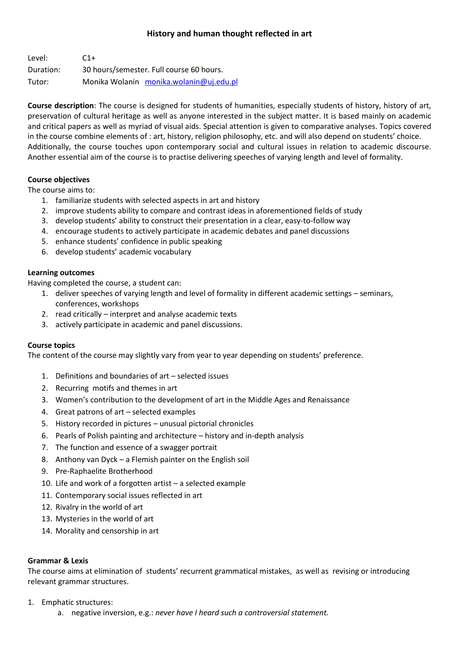## **History and human thought reflected in art**

| Level:    | $C1+$                                    |
|-----------|------------------------------------------|
| Duration: | 30 hours/semester. Full course 60 hours. |
| Tutor:    | Monika Wolanin monika.wolanin@uj.edu.pl  |

**Course description**: The course is designed for students of humanities, especially students of history, history of art, preservation of cultural heritage as well as anyone interested in the subject matter. It is based mainly on academic and critical papers as well as myriad of visual aids. Special attention is given to comparative analyses. Topics covered in the course combine elements of : art, history, religion philosophy, etc. and will also depend on students' choice. Additionally, the course touches upon contemporary social and cultural issues in relation to academic discourse. Another essential aim of the course is to practise delivering speeches of varying length and level of formality.

#### **Course objectives**

The course aims to:

- 1. familiarize students with selected aspects in art and history
- 2. improve students ability to compare and contrast ideas in aforementioned fields of study
- 3. develop students' ability to construct their presentation in a clear, easy-to-follow way
- 4. encourage students to actively participate in academic debates and panel discussions
- 5. enhance students' confidence in public speaking
- 6. develop students' academic vocabulary

#### **Learning outcomes**

Having completed the course, a student can:

- 1. deliver speeches of varying length and level of formality in different academic settings seminars, conferences, workshops
- 2. read critically interpret and analyse academic texts
- 3. actively participate in academic and panel discussions.

#### **Course topics**

The content of the course may slightly vary from year to year depending on students' preference.

- 1. Definitions and boundaries of art selected issues
- 2. Recurring motifs and themes in art
- 3. Women's contribution to the development of art in the Middle Ages and Renaissance
- 4. Great patrons of art selected examples
- 5. History recorded in pictures unusual pictorial chronicles
- 6. Pearls of Polish painting and architecture history and in-depth analysis
- 7. The function and essence of a swagger portrait
- 8. Anthony van Dyck a Flemish painter on the English soil
- 9. Pre-Raphaelite Brotherhood
- 10. Life and work of a forgotten artist a selected example
- 11. Contemporary social issues reflected in art
- 12. Rivalry in the world of art
- 13. Mysteries in the world of art
- 14. Morality and censorship in art

#### **Grammar & Lexis**

The course aims at elimination of students' recurrent grammatical mistakes, as well as revising or introducing relevant grammar structures.

- 1. Emphatic structures:
	- a. negative inversion, e.g.: *never have I heard such a controversial statement.*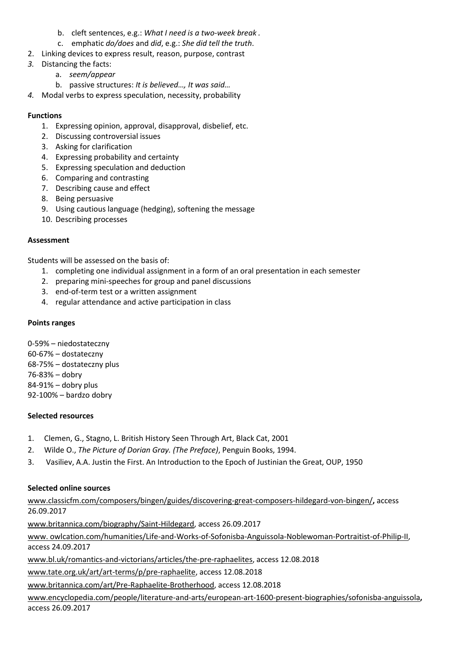- b. cleft sentences, e.g.: *What I need is a two-week break .*
- c. emphatic *do/does* and *did*, e.g.: *She did tell the truth*.
- 2. Linking devices to express result, reason, purpose, contrast
- *3.* Distancing the facts:
	- a. *seem/appear*
	- b. passive structures: *It is believed…, It was said…*
- *4.* Modal verbs to express speculation, necessity, probability

### **Functions**

- 1. Expressing opinion, approval, disapproval, disbelief, etc.
- 2. Discussing controversial issues
- 3. Asking for clarification
- 4. Expressing probability and certainty
- 5. Expressing speculation and deduction
- 6. Comparing and contrasting
- 7. Describing cause and effect
- 8. Being persuasive
- 9. Using cautious language (hedging), softening the message
- 10. Describing processes

#### **Assessment**

Students will be assessed on the basis of:

- 1. completing one individual assignment in a form of an oral presentation in each semester
- 2. preparing mini-speeches for group and panel discussions
- 3. end-of-term test or a written assignment
- 4. regular attendance and active participation in class

#### **Points ranges**

0-59% – niedostateczny 60-67% – dostateczny 68-75% – dostateczny plus 76-83% – dobry 84-91% – dobry plus 92-100% – bardzo dobry

#### **Selected resources**

- 1. Clemen, G., Stagno, L. British History Seen Through Art, Black Cat, 2001
- 2. Wilde O., *The Picture of Dorian Gray. (The Preface)*, Penguin Books, 1994.
- 3. Vasiliev, A.A. Justin the First. An Introduction to the Epoch of Justinian the Great, OUP, 1950

#### **Selected online sources**

[www.classicfm.com/composers/bingen/guides/discovering-great-composers-hildegard-von-bingen/](http://www.classicfm.com/composers/bingen/guides/discovering-great-composers-hildegard-von-bingen/)**,** access 26.09.2017

[www.britannica.com/biography/Saint-Hildegard,](http://www.britannica.com/biography/Saint-Hildegard) access 26.09.2017

www. owlcation.com/humanities/Life-and-Works-of-Sofonisba-Anguissola-Noblewoman-Portraitist-of-Philip-II, access 24.09.2017

[www.bl.uk/romantics-and-victorians/articles/the-pre-raphaelites,](http://www.bl.uk/romantics-and-victorians/articles/the-pre-raphaelites) access 12.08.2018

[www.tate.org.uk/art/art-terms/p/pre-raphaelite,](http://www.tate.org.uk/art/art-terms/p/pre-raphaelite) access 12.08.2018

[www.britannica.com/art/Pre-Raphaelite-Brotherhood,](http://www.britannica.com/art/Pre-Raphaelite-Brotherhood) access 12.08.2018

[www.encyclopedia.com/people/literature-and-arts/european-art-1600-present-biographies/sofonisba-anguissola](http://www.encyclopedia.com/people/literature-and-arts/european-art-1600-present-biographies/sofonisba-anguissola)**,**  access 26.09.2017